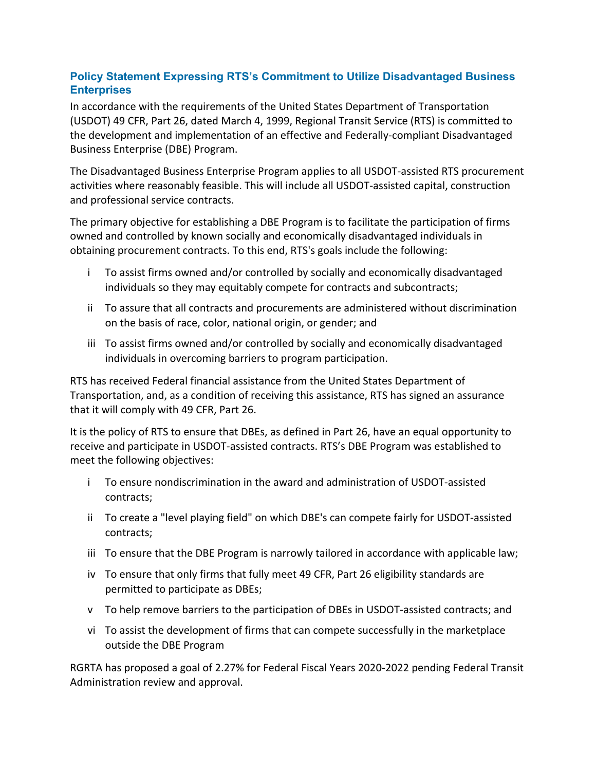## **Policy Statement Expressing RTS's Commitment to Utilize Disadvantaged Business Enterprises**

In accordance with the requirements of the United States Department of Transportation (USDOT) 49 CFR, Part 26, dated March 4, 1999, Regional Transit Service (RTS) is committed to the development and implementation of an effective and Federally‐compliant Disadvantaged Business Enterprise (DBE) Program.

The Disadvantaged Business Enterprise Program applies to all USDOT‐assisted RTS procurement activities where reasonably feasible. This will include all USDOT‐assisted capital, construction and professional service contracts.

The primary objective for establishing a DBE Program is to facilitate the participation of firms owned and controlled by known socially and economically disadvantaged individuals in obtaining procurement contracts. To this end, RTS's goals include the following:

- i To assist firms owned and/or controlled by socially and economically disadvantaged individuals so they may equitably compete for contracts and subcontracts;
- ii To assure that all contracts and procurements are administered without discrimination on the basis of race, color, national origin, or gender; and
- iii To assist firms owned and/or controlled by socially and economically disadvantaged individuals in overcoming barriers to program participation.

RTS has received Federal financial assistance from the United States Department of Transportation, and, as a condition of receiving this assistance, RTS has signed an assurance that it will comply with 49 CFR, Part 26.

It is the policy of RTS to ensure that DBEs, as defined in Part 26, have an equal opportunity to receive and participate in USDOT‐assisted contracts. RTS's DBE Program was established to meet the following objectives:

- i To ensure nondiscrimination in the award and administration of USDOT‐assisted contracts;
- ii To create a "level playing field" on which DBE's can compete fairly for USDOT‐assisted contracts;
- iii To ensure that the DBE Program is narrowly tailored in accordance with applicable law;
- iv To ensure that only firms that fully meet 49 CFR, Part 26 eligibility standards are permitted to participate as DBEs;
- v To help remove barriers to the participation of DBEs in USDOT‐assisted contracts; and
- vi To assist the development of firms that can compete successfully in the marketplace outside the DBE Program

RGRTA has proposed a goal of 2.27% for Federal Fiscal Years 2020‐2022 pending Federal Transit Administration review and approval.